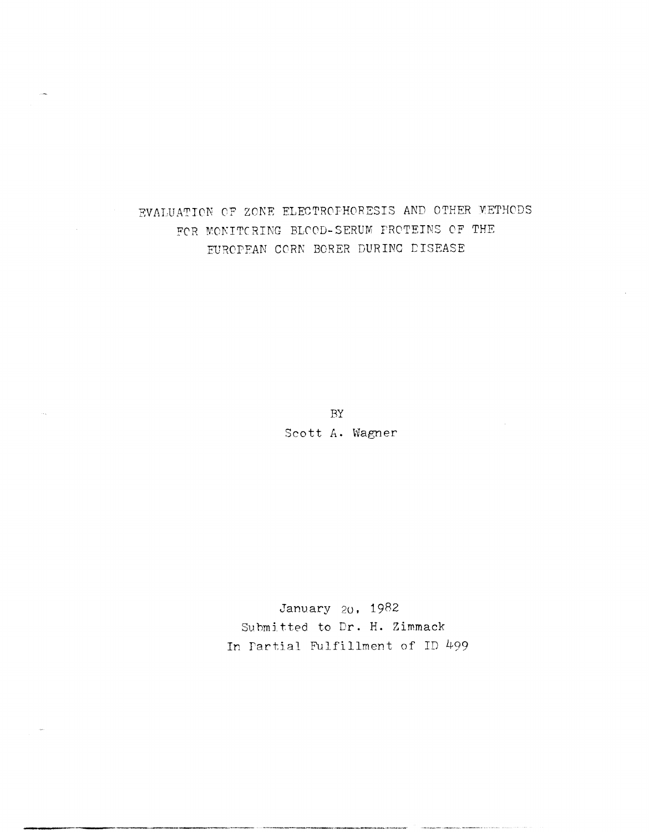# EVALUATION OF ZONE ELECTROFHORESIS AND OTHER METHODS FOR MONITORING BLOOD-SERUM PROTEINS OF THE EUROPEAN CORN BORER DURING DISEASE

BY Scott A. Wagner

January 20, 1982 Submitted to Dr. H. Zimmack In Partial Fulfillment of ID 499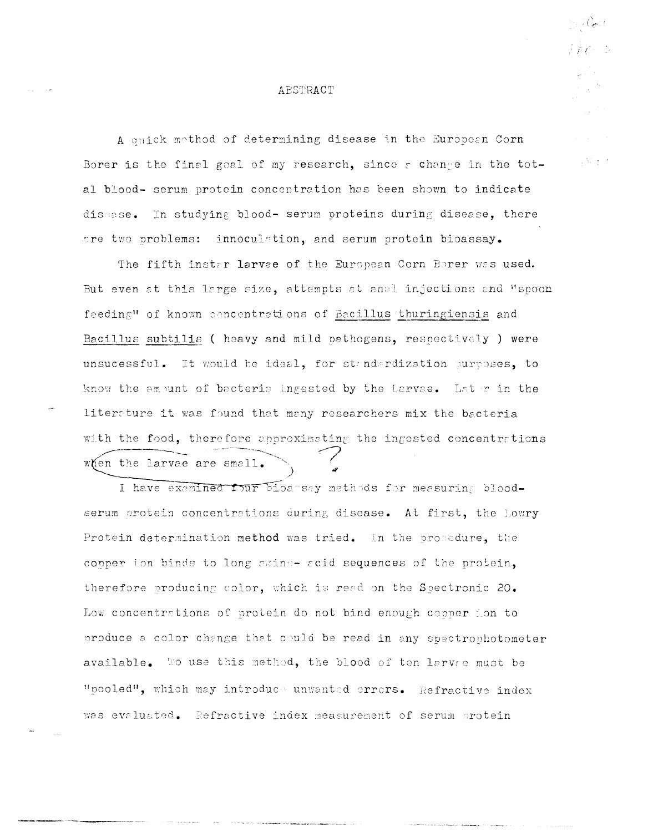### ABSTRACT

A ouick method of determining disease in the European Corn Borer is the final goal of my research, since a change in the total blood- serum protein concentration has been shown to indicate disasse. In studying blood- serum proteins during disease, there are two problems: innoculation, and serum protein bioassay.

 $\sqrt{3}$  ,  $\sqrt{2}$ 

The fifth instar larvae of the European Corn Borer was used. But even at this large size, attempts at anal injections and "spoon feeding" of known concentrations of Bacillus thuringiensis and Bacillus subtilis ( heavy and mild pathogens, respectively ) were unsucessful. It would be ideal, for standardization purposes, to know the ambunt of bacteris ingested by the Larvae. Later in the literature it was found that many researchers mix the bacteria with the food, therefore annroximating the ingested concentrations when the larvae are small.

I have exemined four bioansay methods for measuring bloodserum protein concentrations during disease. At first, the Lowry Protein determination method was tried. In the procedure, the copper ion binds to long amino- acid sequences of the protein, therefore producing color, which is read on the Spectronic 20. Low concentrations of protein do not bind enough copper ion to produce a color change that could be read in any spectrophotometer available. To use this method, the blood of ten larvee must be "pooled", which may introduce unwanted errors. Refractive index was evaluated. Refractive index measurement of serum protein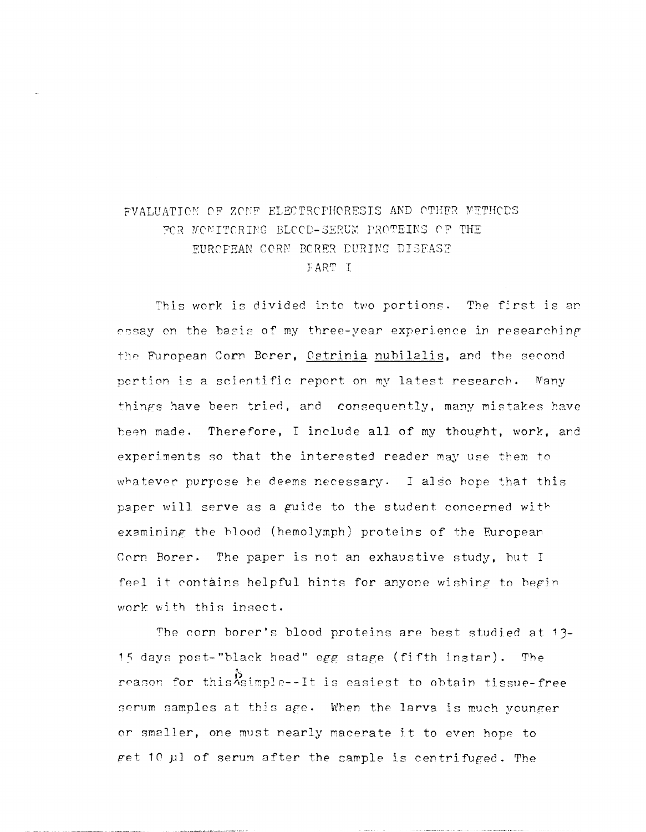# FVALUATION OF ZONE ELECTROPHORESIS AND OTHER METHODS FOR MONITCRING BLOCD-SERUM PROTEINS OF THE EUROPEAN CORN BORER DURING DISEASE FART I

This work is divided into two portions. The first is an essay on the basis of my three-year experience in researching the European Corn Borer, Ostrinia nubilalis, and the second portion is a scientific report on my latest research. Many things have been tried, and consequently, many mistakes have been made. Therefore, I include all of my thought, work, and experiments so that the interested reader may use them to whatever purpose he deems necessary. I also hope that this paper will serve as a guide to the student concerned with examining the blood (hemolymph) proteins of the European Corn Borer. The paper is not an exhaustive study, but I feel it contains helpful hints for anyone wishing to begin work with this insect.

The corn borer's blood proteins are best studied at 13-15 days post-"black head" egg stage (fifth instar). The reason for this asimple--It is easiest to obtain tissue-free serum samples at this age. When the larva is much younger or smaller, one must nearly macerate it to even hope to get 10 µl of serum after the sample is centrifuged. The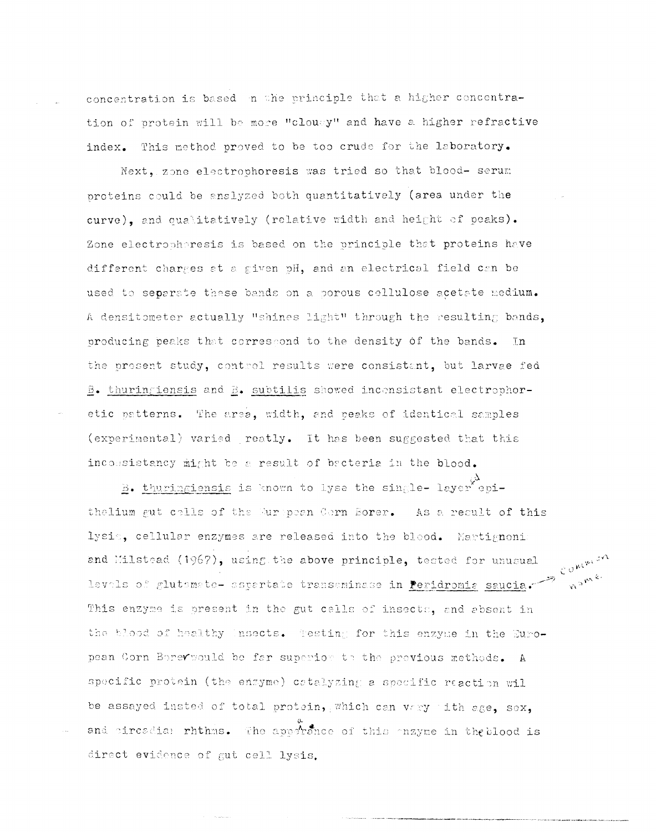concentration is based in the principle that a higher concentration of protein will be more "clougy" and have a higher refractive index. This method proved to be too crude for the laboratory.

Next, zone electrophoresis was tried so that blood- serum proteins could be analyzed both quantitatively (area under the curve), and qualitatively (relative width and height of peaks). Zone electrophoresis is based on the principle that proteins have different charges at a given pH, and an electrical field can be used to separate these bands on a porous cellulose acetate medium. A densitometer actually "shines light" through the resulting bands, producing peaks that correscond to the density of the bands. In the present study, control results were consistent, but larvae fed B. thuringiensis and B. subtilis showed inconsistant electrophoretic patterns. The arsa, width, and peaks of identical samples (experimental) varied reatly. It has been suggested that this inconsistancy might be a result of becteria in the blood.

B. thuringiensis is known to lyse the single- layer enithelium gut cells of the Murepean Cern Borer. As a result of this lysie, cellular enzymes are released into the blood. Martignonia levals of glutemete- aspertate transminase in <u>Peridromia</u> saucia.  $e^{i\theta^{m^{(n-1)}}}$ <br>This enzyme is present in W This enzyme is present in the gut cells of insects, and absent in the blood of healthy insects. Testing for this enzyme in the European Corn Berevwould be far superior to the previous methods. A specific protein (the enzyme) cotalyzing a specific reaction wil be assayed insted of total protein, which can vary with age, sex, and circadia: rhthms. The apperince of this onzyme in the blood is direct evidence of gut cell lysis.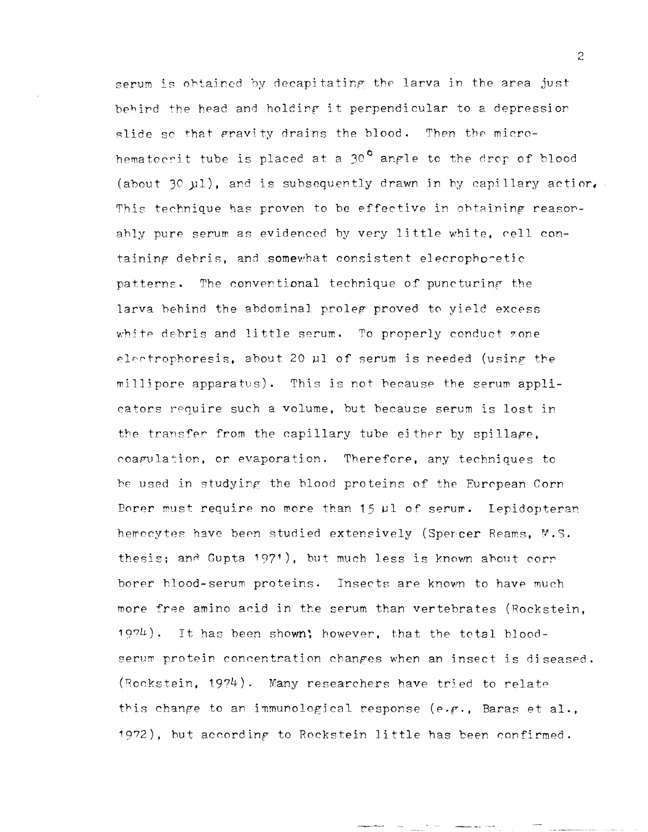serum is obtained by decapitating the larva in the area just behind the head and holding it perpendicular to a depression slide so that gravity drains the blood. Then the microhematocrit tube is placed at a 30<sup>°</sup> angle to the drop of blood (about 30 µ1), and is subsequently drawn in by capillary action. This technique has proven to be effective in obtaining reasonahly pure serum as evidenced by very little white, cell containing debris, and somewhat consistent elecrophoretic patterns. The conventional technique of puncturing the larva behind the abdominal proleg proved to yield excess white debris and little serum. To properly conduct zone electrophoresis, about 20 µ1 of serum is needed (using the millipore apparatus). This is not because the serum applicators require such a volume, but because serum is lost in the transfer from the capillary tube either by spillage, coagulation, or evaporation. Therefore, any techniques to be used in studying the blood proteins of the European Corn Borer must require no more than 15 ul of serum. Lepidopteran hemocytes have been studied extensively (Spencer Reams, M.S. thesis; and Gupta 1971), but much less is known about corn borer blood-serum proteins. Insects are known to have much more free amino acid in the serum than vertebrates (Rockstein,  $1974$ ). It has been shown; however, that the total bloodserum protein concentration changes when an insect is diseased. (Rockstein, 1974). Many researchers have tried to relate this change to an immunological response (e.g., Baras et al., 1972), but according to Rockstein little has been confirmed.

 $\overline{2}$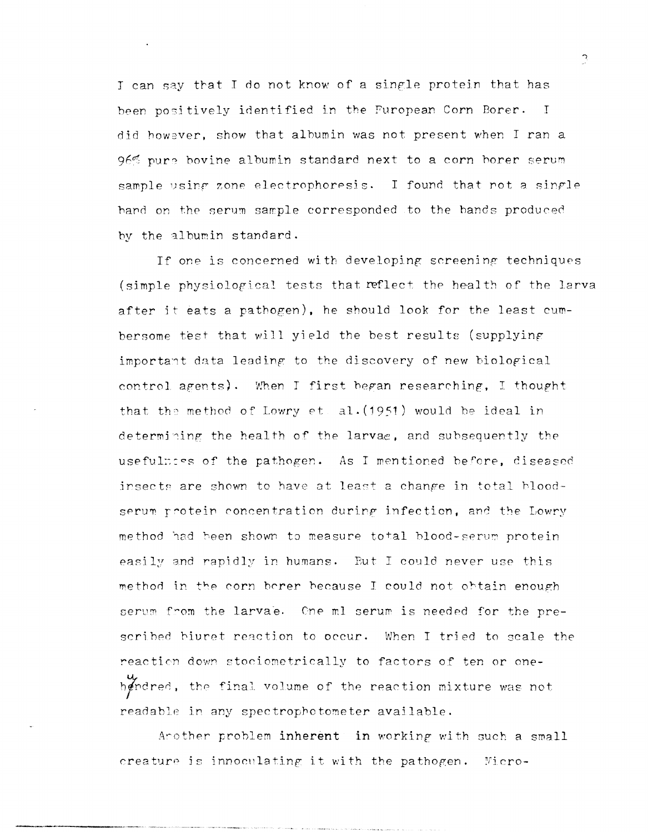I can say that I do not know of a single protein that has been positively identified in the Furopean Corn Borer. I did however, show that albumin was not present when I ran a 96% pure bovine albumin standard next to a corn borer serum sample using zone electrophoresis. I found that not a single hand on the serum sample corresponded to the bands produced by the albumin standard.

If one is concerned with developing screening techniques (simple physiological tests that reflect the health of the larva after it eats a pathogen), he should look for the least cumbersome test that will yield the best results (supplying important data leading to the discovery of new biological control agents). When I first began researching, I thought that the method of Lowry et. al. (1951) would be ideal in determining the health of the larvae, and subsequently the usefulness of the pathogen. As I mentioned before, diseased insects are shown to have at least a change in total bloodserum protein concentration during infection, and the Lowry method had been shown to measure total blood-serum protein easily and rapidly in humans. But I could never use this method in the corn berer because I could not obtain enough serum from the larvae. One ml serum is needed for the prescribed biuret reaction to occur. When I tried to scale the reaction down stociometrically to factors of ten or onehendred, the final volume of the reaction mixture was not readable in any spectrophotometer available.

Arother problem inherent in working with such a small creature is innoculating it with the pathogen. Micro $\tilde{\mathcal{L}}$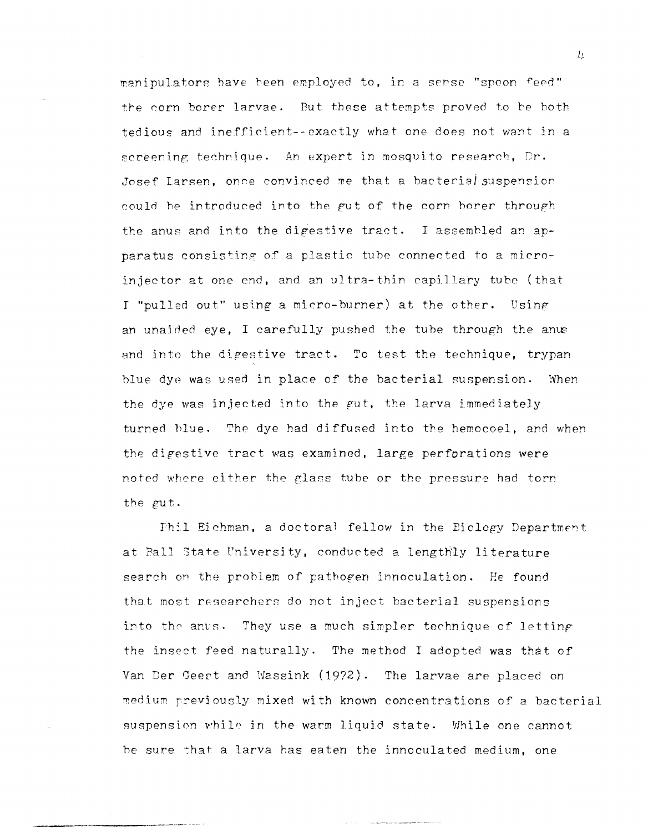manipulators have been employed to, in a sense "spoon feed" the corn borer larvae. But these attempts proved to be both tedious and inefficient--exactly what one does not want in a screening technique. An expert in mosquito research, Dr. Josef Larsen, once convinced me that a bacterial suspension could be introduced into the gut of the corn borer through the anus and into the digestive tract. I assembled an apparatus consisting of a plastic tube connected to a microinjector at one end, and an ultra-thin capillary tube (that I "pulled out" using a micro-burner) at the other. Using an unaided eye, I carefully pushed the tube through the anus and into the digestive tract. To test the technique, trypan blue dye was used in place of the bacterial suspension. When the dye was injected into the gut, the larva immediately turned blue. The dye had diffused into the hemocoel, and when the digestive tract was examined, large perforations were noted where either the glass tube or the pressure had torn the gut.

Phil Eichman, a doctoral fellow in the Biology Department at Ball State University, conducted a lengthly literature search on the problem of pathogen innoculation. He found that most researchers do not inject bacterial suspensions into the anus. They use a much simpler technique of letting the insect feed naturally. The method I adopted was that of Van Der Geest and Wassink (1972). The larvae are placed on medium previously mixed with known concentrations of a bacterial suspension while in the warm liquid state. While one cannot be sure that a larva has eaten the innoculated medium, one

 $\overline{u}$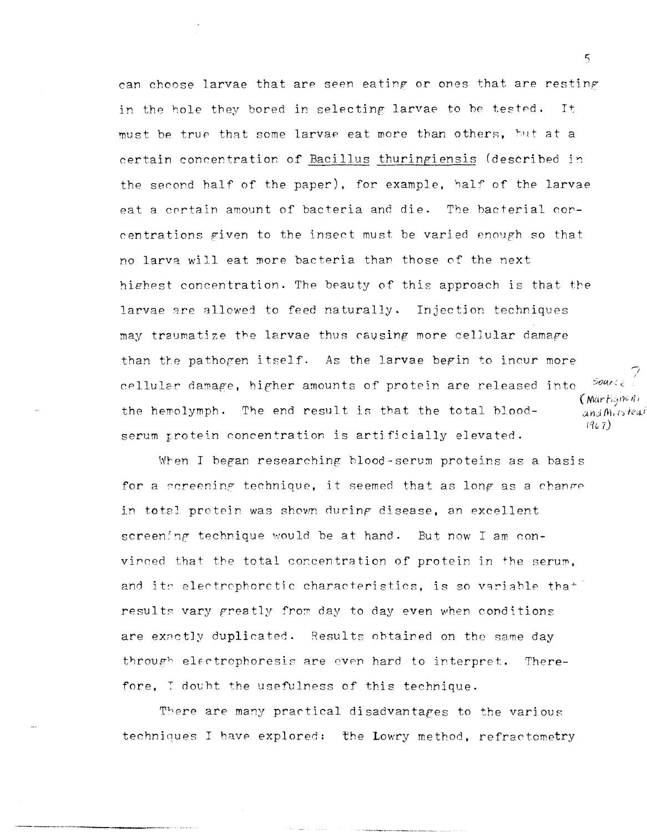can choose larvae that are seen eating or ones that are resting in the hole they bored in selecting larvae to be tested. It must be true that some larvae eat more than others, but at a certain concentration of Bacillus thuringiensis (described in the second half of the paper), for example, half of the larvae eat a cprtain amount of bacteria and die. The hacterial concentrations given to the insect must be varied enough so that no larva wi]l eat more bacteria than those of the next highest concentration. The beauty of this approach is that the larvae are allowed to feed naturally. Injection techniques may traumatize the larvae thus causing more cellular damape than the pathogen itself. As the larvae begin to incur more Source cellular damage, higher amounts of protein are released into  $\frac{1}{2}$  (Martigned) the hemolymph. The end result is that the total blood-  $\qquad$   $_{\text{and }m_{i}}$  is teat *Iq", 7)*  serum protein concentration is artificially elevated.

When J began researching hlood-serum proteins as a basis for a screening technique, it seemed that as long as a change in total protein was shown during disease, an excellent screening technique would be at hand. But now I am convinced that the total concentration of protein in the serum. and its electrophoretic characteristics, is so variable that results vary greatly from day to day even when conditions are exactly duplicated. Results obtained on the same day through electrophoresis are even hard to interpret. Therefore, I douht the usefulness of this technique.

There are many practical disadvantages to the various techniques I have explored: the Lowry method, refractometry

 $5\overline{5}$ 

 $\overline{\gamma}$ I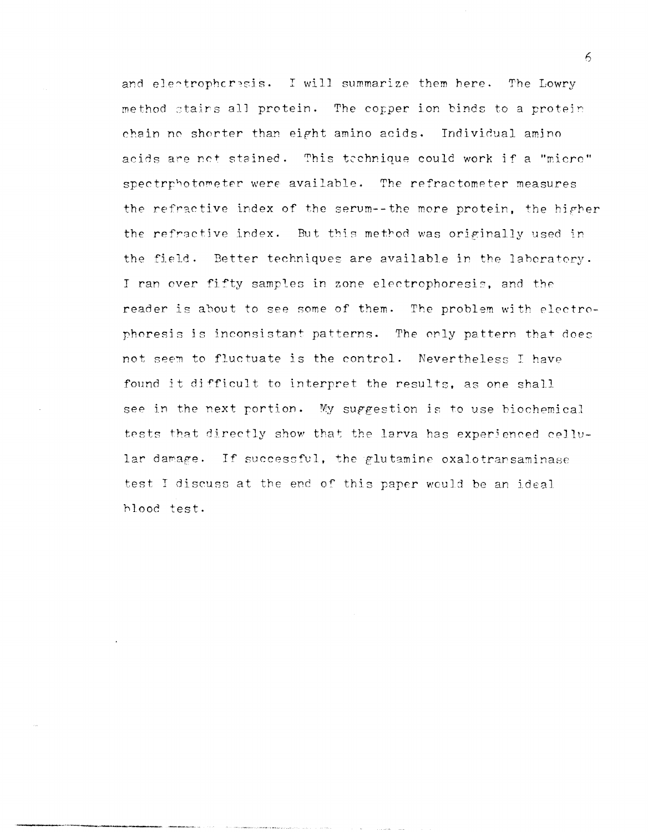and electrophoresis. I will summarize them here. The Lowry method stairs all protein. The copper ion binds to a protein chain no shorter than eight amino acids. Individual amino acids are net stained. This technique could work if a "micro" spectrphotometer were available. The refractometer measures the refractive index of the serum--the more protein, the higher the refractive index. But this method was originally used in the field. Better techniques are available in the laboratory. I ran over fifty samples in zone electrophoresis, and the reader is about to see some of them. The problem with electrophoresis is inconsistant patterns. The only pattern that does not seem to fluctuate is the control. Nevertheless I have found it difficult to interpret the results, as one shall see in the next portion. My suggestion is to use biochemical tests that directly show that the larva has experienced cellular damage. If successful, the glutamine oxalotransaminase test I discuss at the end of this paper would be an ideal blood test.

 $\kappa$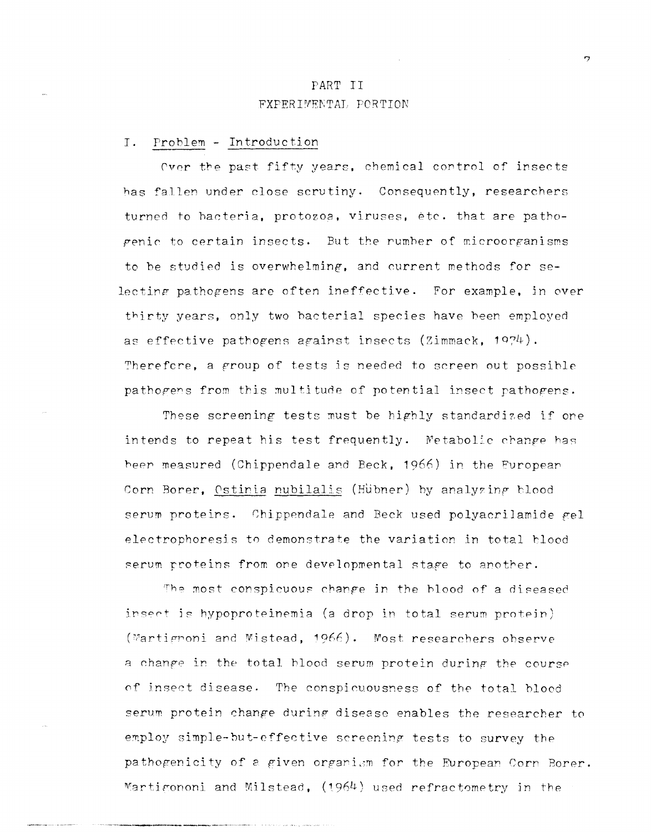# PART II **FXPERIMENTAL PORTION**

#### $I.$ Problem - Introduction

Over the past fifty years, chemical control of insects has fallen under close scrutiny. Consequently, researchers turned to hacteria, protozoa, viruses, etc. that are pathogenic to certain insects. But the rumber of microorganisms to be studied is overwhelming, and current methods for selecting pathogens are often ineffective. For example, in over thirty years, only two bacterial species have been employed as effective pathogens against insects (Zimmack, 1974). Therefore, a group of tests is needed to screen out possible pathogens from this multitude of potential insect pathogens.

These screening tests must be highly standardized if one intends to repeat his test frequently. Metabolic change has been measured (Chippendale and Beck, 1966) in the European Corn Borer, Ostinia nubilalis (Hübner) by analyzing blood serum proteins. Chippendale and Beck used polyacrilamide gel electrophoresis to demonstrate the variation in total blood serum proteins from one developmental stage to another.

The most conspicuous change in the blood of a diseased insect is hypoproteinemia (a drop in total serum protein) (Martignoni and Mistead, 1966). Most researchers observe a change in the total blood serum protein during the course of insect disease. The conspicuousness of the total blood serum protein change during disease enables the researcher to employ simple-but-effective screening tests to survey the pathogenicity of a given organism for the European Corn Borer. Martigononi and Milstead, (1964) used refractometry in the

 $\mathbf{r}$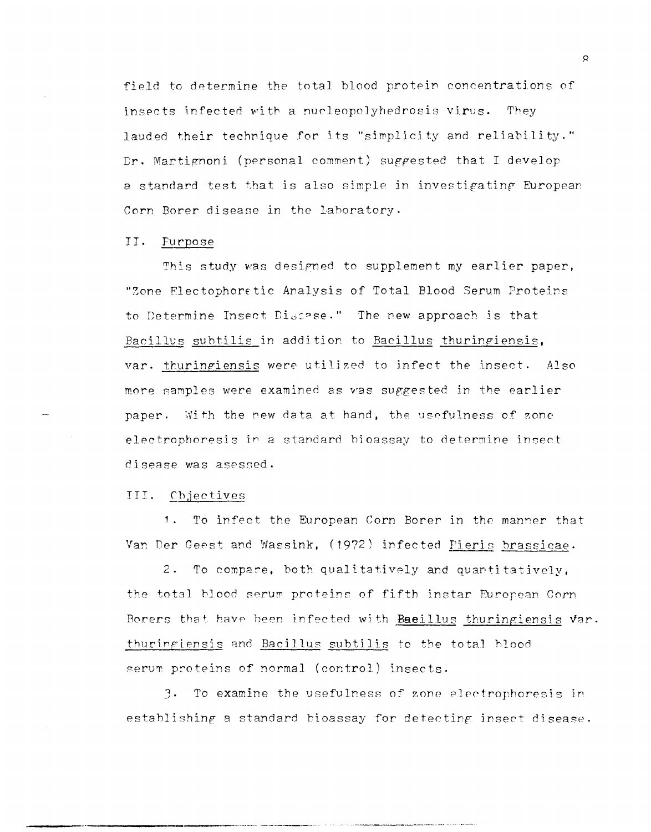field to determine the total blood protein concentrations of insects infected with a nucleopolyhedrosis virus. They lauded their technique for its "simplicity and reliability." Dr. Martignoni (personal comment) suggested that I develop a standard test that is also simple in investigating European Corn Borer disease in the laboratory.

#### II. Furpose

This study was designed to supplement my earlier paper, "Zone Electophoretic Analysis of Total Blood Serum Proteins to Determine Insect Discase." The new approach is that Bacillus subtilis in addition to Bacillus thuringiensis, var. thuringiensis were utilized to infect the insect. Also more samples were examined as was suggested in the earlier paper. With the new data at hand, the usefulness of zone electrophoresis in a standard bioassay to determine insect disease was asessed.

### III. Chjectives

To infect the European Corn Borer in the manner that  $1.1$ Van Der Geest and Wassink, (1972) infected Pieris brassicae.

 $2.$ To compare, both qualitatively and quantitatively, the total blood serum proteins of fifth instar European Corn Borers that have been infected with Baeillus thuringiensis var. thuringiensis and Bacillus subtilis to the total blood serum proteins of normal (control) insects.

3. To examine the usefulness of zone electrophoresis in establishing a standard bioassay for detecting insect disease.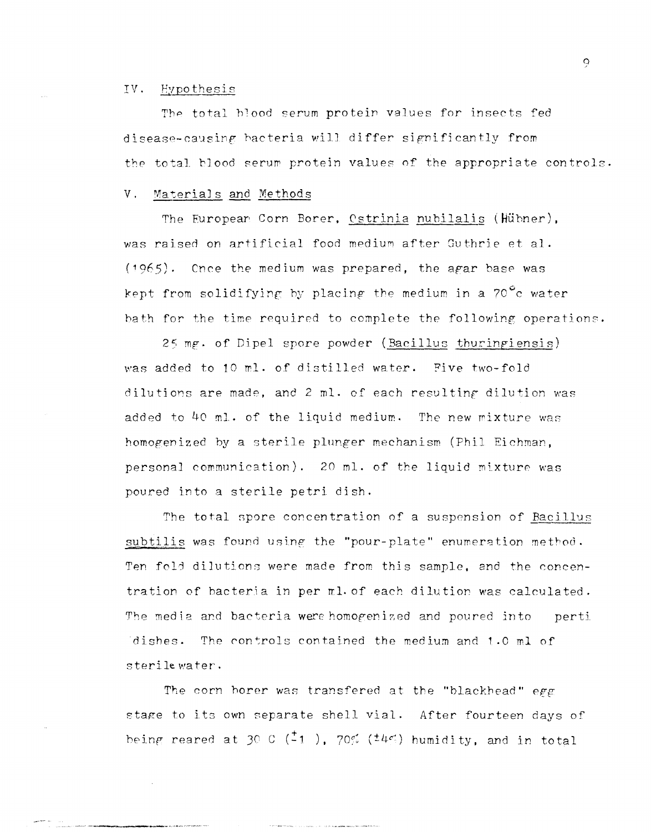#### IV. Hypothesis

The total blood serum protein values for insects fed disease-causing bacteria will differ significantly from the total blood serum protein values of the appropriate controls.

#### $V<sub>1</sub>$ Materials and Methods

The European Corn Borer, Ostrinia nubilalis (Hübner), was raised on artificial food medium after Guthrie et al.  $(1965)$ . Cnce the medium was prepared, the agar base was kept from solidifying by placing the medium in a 70<sup>°</sup>c water bath for the time required to complete the following operations.

25 mg. of Dipel spore powder (Bacillus thuringiensis) was added to 10 ml. of distilled water. Five two-fold dilutions are made, and 2 ml. of each resulting dilution was added to 40 ml. of the liquid medium. The new mixture was homogenized by a sterile plunger mechanism (Phil Eichman, personal communication). 20 ml. of the liquid mixture was poured into a sterile petri dish.

The total spore concentration of a suspension of Bacillus subtilis was found using the "pour-plate" enumeration method. Ten fold dilutions were made from this sample, and the concentration of bacteria in per ml. of each dilution was calculated. The media and bacteria were homogenized and poured into perti The controls contained the medium and 1.0 ml of dishes. sterile water.

The corn borer was transfered at the "blackhead" egg stage to its own separate shell vial. After fourteen days of being reared at 30 C  $(\frac{1}{21})$ , 70%  $(\frac{1}{4}\frac{1}{3})$  humidity, and in total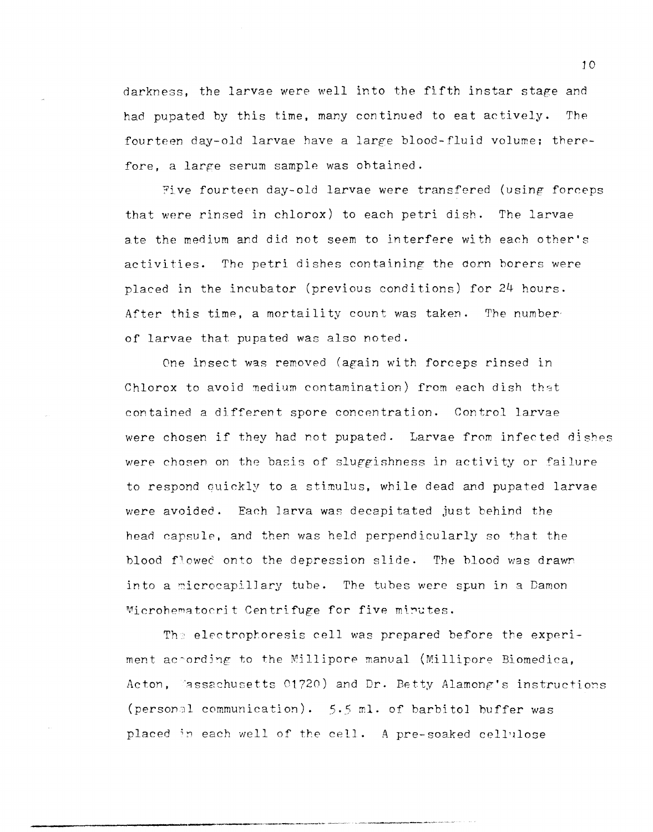darkness, the larvae were well into the fifth instar stage and had pupated by this time, many continued to eat actively. The fourteen day-old larvae have a large blood-fluid volume; therefore, a large serum sample was obtained.

Five fourteen day-old larvae were transfered (using forceps that were rinsed in chlorox) to each petri dish. The larvae ate the medium and did not seem to interfere with each other's activities. The petri dishes containing the corn borers were placed in the incubator (previous conditions) for 24 hours. After this time, a mortaility count was taken. The number· of larvae that pupated was also noted.

One insect was removed (again with forceps rinsed in Chlorox to avoid medium contamination) from each dish that contained a different spore concentration. Control larvae were chosen if they had rot pupated. Larvae from infected dishes were chosen on the basis of sluggishness in activity or failure to respond Guickly to a stimulus, while dead and pupated larvae were avoided. Each larva was decapitated just behind the head capsule, and then was held perpendicularly so that the blood flowed onto the depression slide. The blood was drawn into a microcapillary tube. The tubes were spun in a Damon Microhematocrit Centrifuge for five mirutes.

The electrophoresis cell was prepared before the experiment ac $\circ$ ording to the Millipore manual (Millipore Biomedica, Acton, Passachusetts 01720) and Dr. Betty Alamong's instructions (person31 communication). 5.5 mI. of barbital buffer was placed in each well of the cell. A pre-soaked cellulose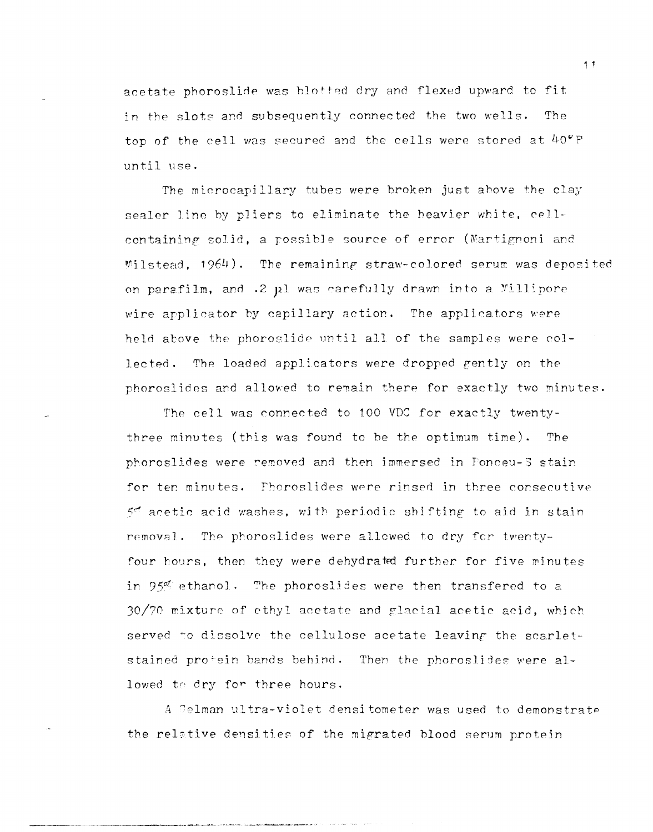acetate phoroslide was blotted dry and flexed upward to fit in the slots and subsequently connected the two wells. The top of the cell was secured and the cells were stored at  $40^{\circ}$  F until use.

The microcapilJary tubes were broken just ahove the clay sealer line by pliers to eliminate the heavier white, cellcontaining solid, a possible source of error (Martignoni and Milstead,  $1964$ ). The remaining straw-colored serum was deposited on parafilm, and  $.2$   $\mu$ l was carefully drawn into a Millipore wire applicator by capillary action. The applicators were held above the phoroslide until all of the samples were collected. The loaded applicators were dropped gently on the phoroslides and allowed to remain there for exactly two minutes.

The cell was connected to 100 VDC for exactly twentythree minutes (this was found to be the optimum time). The phoroslides were removed and then immersed in Ponceu-S stain for ten minutes. fhoroslides were rinsed in three consecutive  $5<sup>o</sup>$  acetic acid washes, with periodic shifting to aid in stain removal. The phoroslides were allowed to dry for twentyfour hours, then they were dehydrated further for five minutes in 95% ethanol. The phoroslides were then transfered to a  $30/70$  mixture of ethyl acetate and glacial acetic acid, which served to dissolve the cellulose acetate leaving the scarletstained protein bands behind. Then the phoroslides were allowed to dry for three hours.

A Gelman ultra-violet densitometer was used to demonstrate the relative densities of the migrated blood serum protein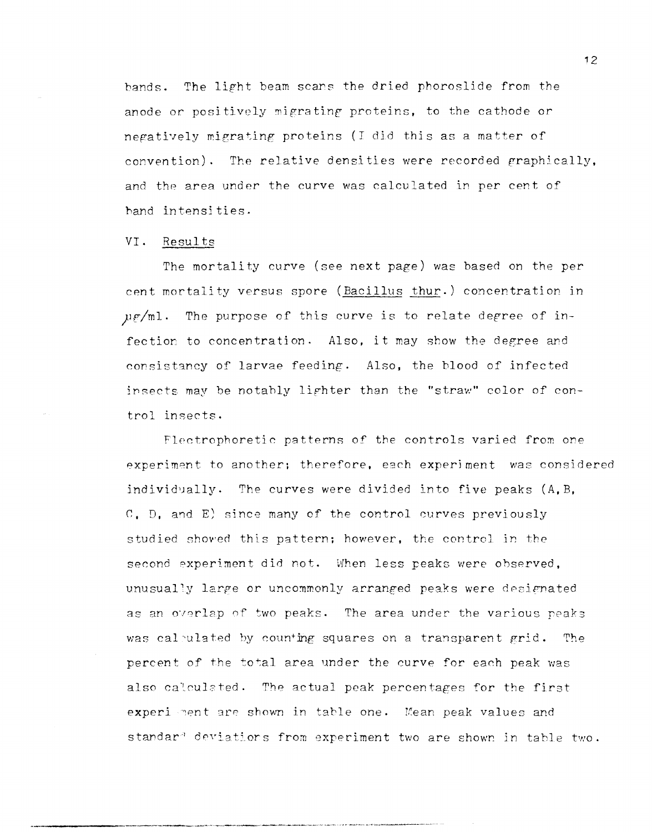bands. The light beam scars the dried phoroslide from the anode or positively migrating proteins, to the cathode or negatively migrating proteins (I did this as a matter of convention). The relative densities were recorded graphically, and the area under the curve was calculated in per cent of hand intensities.

### VI. Results

The mortality curve (see next page) was based on the per cent mortality versus spore (Bacillus thur.) concentration in  $\mu$ g/ml. The purpose of this curve is to relate degree of infection to concentration. Also, it may show the degree and consistancy of larvae feeding. Also, the blood of infected insects may be notably lighter than the "straw" color of control insects.

Flectrophoretic patterns of the controls varied from one experiment to another; therefore, each experiment was considered individually. The curves were divided into five peaks  $(A, B, A)$  $C$ ,  $D$ , and  $E$ ) since many of the control curves previously studied showed this pattern; however, the control in the second experiment did not. When less peaks were observed, unusually large or uncommonly arranged peaks were designated as an overlap of two peaks. The area under the various peaks was calculated by counting squares on a transparent grid. The percent of the total area under the curve for each peak was also calculated. The actual peak percentages for the first experi ment are shown in table one. Mean peak values and standar<sup>a</sup> deviations from experiment two are shown in table two.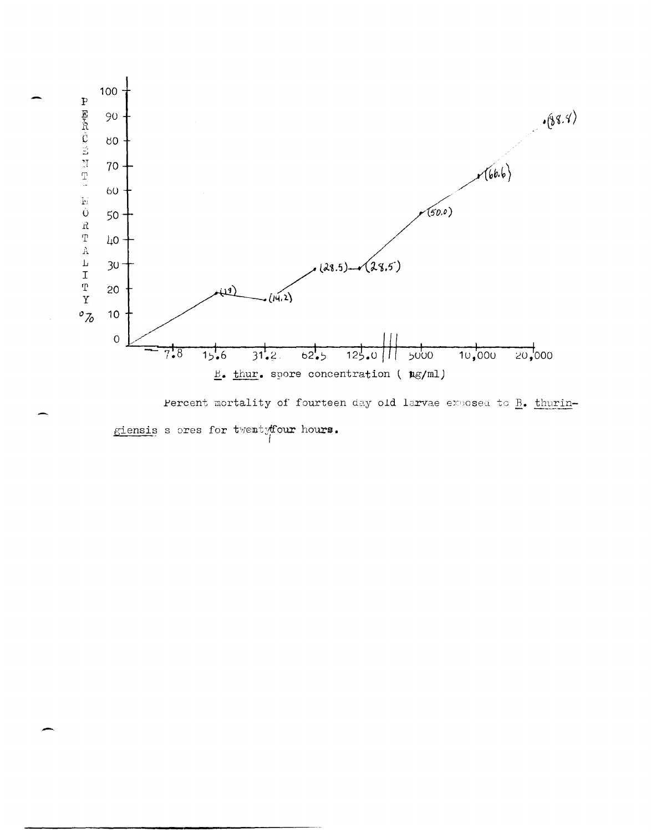

Percent mortality of fourteen day old larvae exposed to B. thuringiensis s ores for twentyfour hours.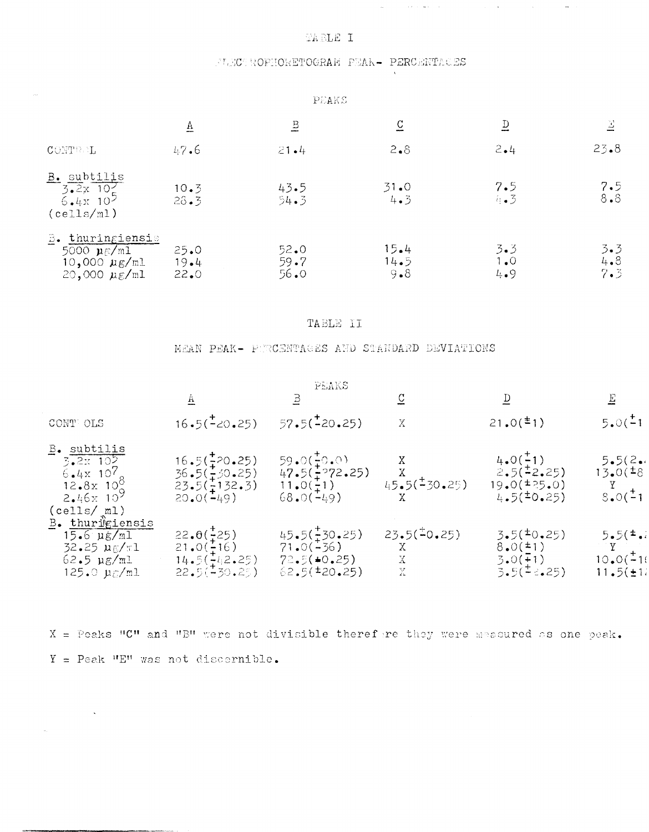## TABLE I

## FLECTROPHORETOGRAM PEAK- PERCENTAGES

 $\mathcal{L}_{\mathbf{q}}$  and  $\mathcal{L}_{\mathbf{q}}$  . The contribution of the contribution of  $\mathcal{L}_{\mathbf{q}}$ 

 $\sim 10$ 

 $\sim$ 

| PEAKS                                                                                   |                      |                      |                         |                          |                   |  |  |  |  |
|-----------------------------------------------------------------------------------------|----------------------|----------------------|-------------------------|--------------------------|-------------------|--|--|--|--|
|                                                                                         | $\overline{v}$       | $\overline{B}$       | $\overline{C}$          | $\underline{\textbf{D}}$ | 굴                 |  |  |  |  |
| <b>CONTE L</b>                                                                          | 47.6                 | $21 - 4$             | $2 \cdot 8$             | 2.4                      | 23.8              |  |  |  |  |
| B. subtilis<br>$\frac{1}{3.2x}$ $\frac{10}{2}$<br>$6.4x$ 10 <sup>2</sup><br>(cells/ml)  | 10.5<br>28.3         | 43.5<br>54.3         | 31.0<br>4.3             | 7.5<br>4.3               | 7.5<br>8.8        |  |  |  |  |
| thuringiensis<br>B.<br>5000 $\mu$ $\beta$ /ml<br>10,000 $\mu$ g/ml<br>20,000 $\mu$ g/ml | 25.0<br>19.4<br>22.0 | 52.0<br>59.7<br>56.0 | 15.4<br>14.5<br>$9 - 8$ | 3.3<br>1.0<br>4.9        | 3.3<br>4.8<br>7.3 |  |  |  |  |

### TABLE II

## MEAN PEAK- PURCENTAGES AND STANDARD DEVIATIONS

|                                                                                                              |                                                                                      | PEAKS<br>B                                                                          | $\mathbf C$                                                                                                                                                                  | $\overline{D}$                                                 | E                                                                                         |  |  |
|--------------------------------------------------------------------------------------------------------------|--------------------------------------------------------------------------------------|-------------------------------------------------------------------------------------|------------------------------------------------------------------------------------------------------------------------------------------------------------------------------|----------------------------------------------------------------|-------------------------------------------------------------------------------------------|--|--|
| CONT OLS                                                                                                     |                                                                                      | $16.5(\pm 20.25)$ $57.5(\pm 20.25)$                                                 | $\mathbf X$                                                                                                                                                                  | 21.0(1)                                                        | $5.0(^{+}1)$                                                                              |  |  |
| B. subtilis<br>3.2x 10 <sup>5</sup><br>6.4x 10 <sup>7</sup><br>$12.8x 10^{8}$<br>$2.46x10^{9}$<br>(cells/ml) | $16.5(\frac{1}{4}20.25)$<br>36.5(1.30.25)<br>$23.5(\frac{1}{4}132.3)$<br>$20.0(-49)$ | $59.0(\frac{1}{4}0.0)$<br>$47.5(\frac{1}{4}$ ?72.25)<br>$11.0(\pm1)$<br>$68.0(-49)$ | $\mathbf X$ and $\mathbf X$ and $\mathbf X$ and $\mathbf X$ and $\mathbf X$<br>$X = \begin{bmatrix} 1 & 1 \\ 1 & 1 \end{bmatrix}$<br>$45.5(^{\text{+}}50.25)$<br>$X$ and $X$ | $4.0(^{+}1)$<br>2.5(72.25)<br>$19.0(^{\pm}25.0)$<br>4.5(10.25) | 5.5(2)<br>$13.0(^{+8}$<br>Y X<br>$8.0(^{+}1)$                                             |  |  |
| B. thurigiensis<br>15.6 µg/ml<br>32.25 $\mu$ g/x1<br>62.5 µg/ml<br>125.0 $\mu_{\mathcal{C}}/m$ l             | 22.0(725)<br>21.0(716)<br>14.5(142.25)<br>22.5(130.25)                               | $45.5(\frac{1}{2}30.25)$<br>$71.0(-36)$<br>72.5(10.25)<br>62.5(120.25)              | $23.5(\pm 0.25)$<br>$X \sim$<br>$\mathbf{X}$ and $\mathbf{X}$ and $\mathbf{X}$<br>Y.                                                                                         | 3.5(10.25)<br>8.0(1)<br>3.0(1)<br>3.5(72.25)                   | $5.5($ *.<br>$\mathbf{Y}$ . The set of $\mathbf{Y}$<br>$10.0(^{+}_{-}1)$<br>$11.5(\pm 1)$ |  |  |

 $X = P$ eaks "C" and "B" were not divisible therefore they were measured as one peak.  $Y = Peak$  "E" was not discernible.

 $\sim$   $\sim$ 

 $\bar{\mathcal{A}}$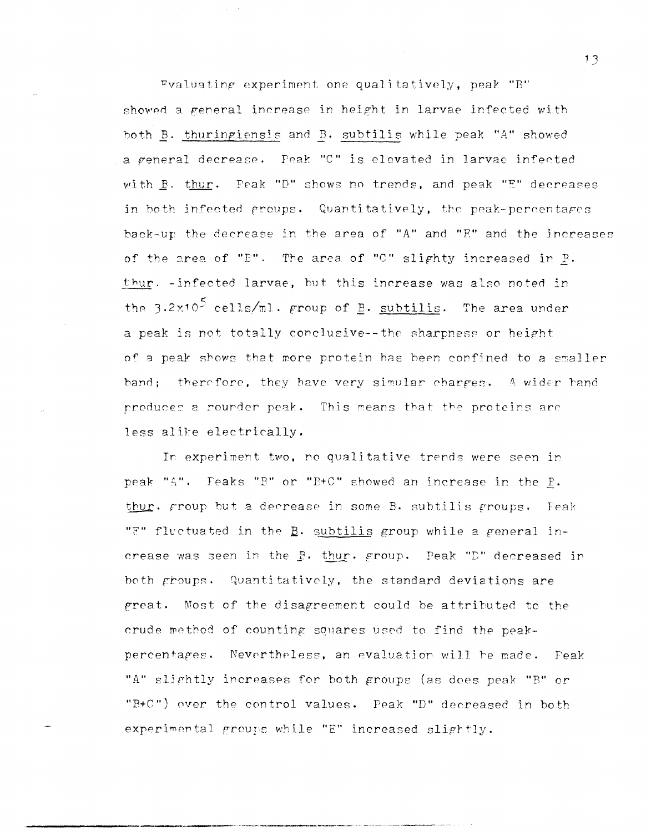Evaluating experiment one qualitatively, peak "B" showed a general increase in height in larvae infected with both B. thuringiensis and B. subtilis while peak "A" showed a general decrease. Peak "C" is elevated in larvae infected with B. thur. Peak "D" shows no trends, and peak "E" decreases in both infected groups. Quantitatively, the peak-percentages back-up the decrease in the area of "A" and "E" and the increases of the area of "P". The area of "C" slighty increased in R. thur. - infected larvae, but this increase was also noted in the  $3.2x10^5$  cells/ml. group of  $\underline{B}$ . subtilis. The area under a peak is not totally conclusive--the sharpness or height of a peak shows that more protein has been confined to a smaller band; therefore, they have very simular charges. A wider hand produces a rounder peak. This means that the proteins are less alike electrically.

In experiment two, no qualitative trends were seen in peak "A". Feaks "B" or "B+C" showed an increase in the B. thur. group but a decrease in some B. subtilis groups. Feak " $E$ " fluctuated in the  $B$ , subtilis group while a general increase was seen in the B. thur. group. Peak "D" decreased in both groups. Quantitatively, the standard deviations are great. Most of the disagreement could be attributed to the crude method of counting squares used to find the peakpercentages. Nevertheless, an evaluation will be made. Feak "A" slightly increases for both groups (as does peak "B" or "B+C") over the control values. Peak "D" decreased in both experimental groups while "E" increased slightly.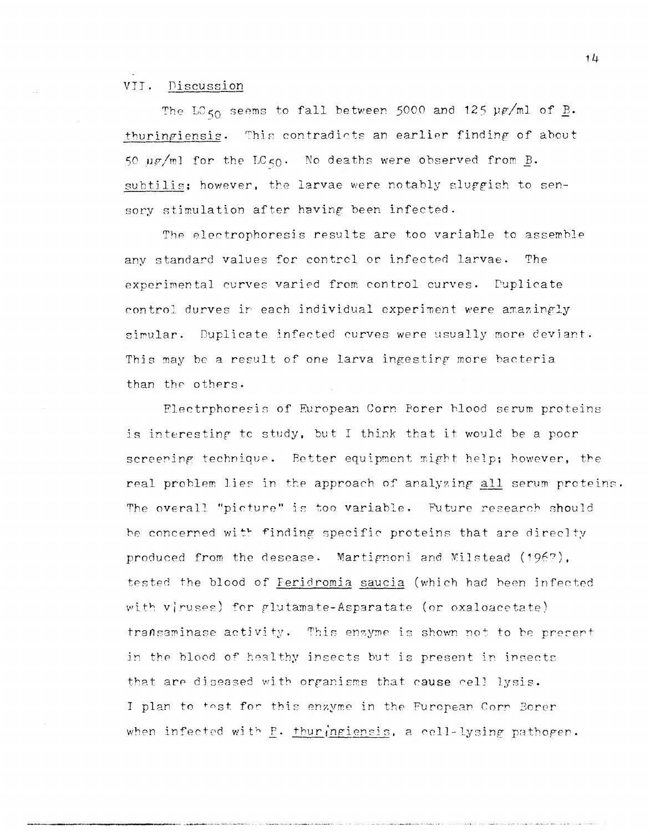### VII. Discussion

The LC<sub>50</sub> seems to fall between 5000 and 125  $\mu$ g/ml of <u>B</u>. thuringiensis. This contradicts an earlier finding of about 50  $\mu$ g/ml for the LC<sub>50</sub>. No deaths were observed from B. subtilis; however, the larvae were notably sluggish to sensory stimulation after having been infected.

The electrophoresis results are too variable to assemble any standard values for control or infected larvae. The experimental curves varied from control curves. Duplicate control durves in each individual experiment were amazingly simular. Duplicate infected curves were usually more deviant. This may be a result of one larva ingesting more bacteria than the others.

Electrphoresis of European Corn Porer blood serum proteins is interesting to study, but I think that it would be a poor screening technique. Better equipment might help; however, the real problem lies in the approach of analyzing all serum proteins. The overall "picture" is too variable. Future research should be concerned with finding specific proteins that are direclty produced from the desease. Martignoni and Milstead (1967). tested the blood of Feridromia saucia (which had been infected with viruses) for glutamate-Asparatate (or oxaloacetate) transaminase activity. This enzyme is shown not to be present in the blood of healthy insects but is present in insects that are diseased with organisms that cause cell lysis. I plan to test for this enzyme in the Furopean Corn Borer when infected with  $E - thur$  ingiensis, a cell-lysing pathogen.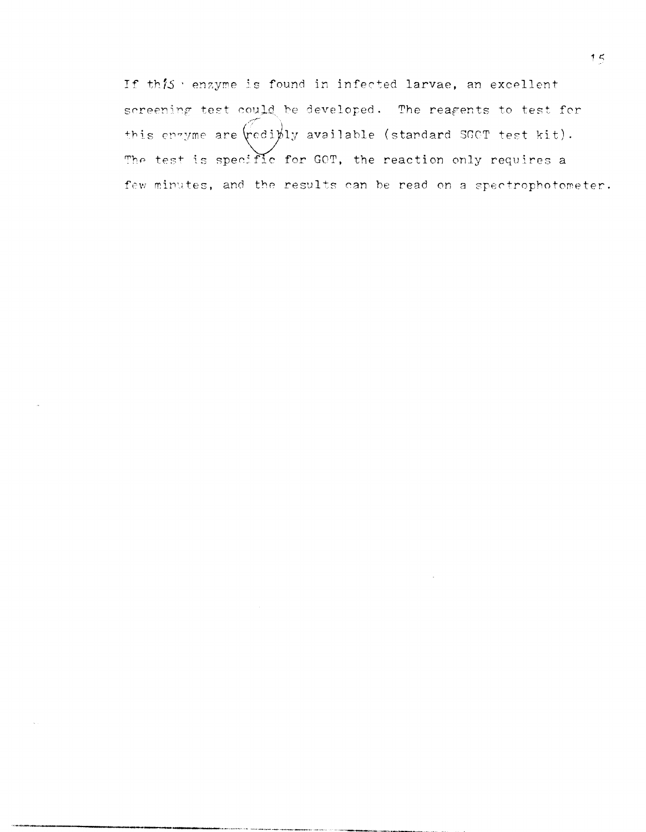If this wenzyme is found in infected larvae, an excellent screening test could be developed. The reagents to test for this enzyme are wediply available (standard SGCT test kit). The test is specific for GOT, the reaction only requires a few minutes, and the results can be read on a spectrophotometer.